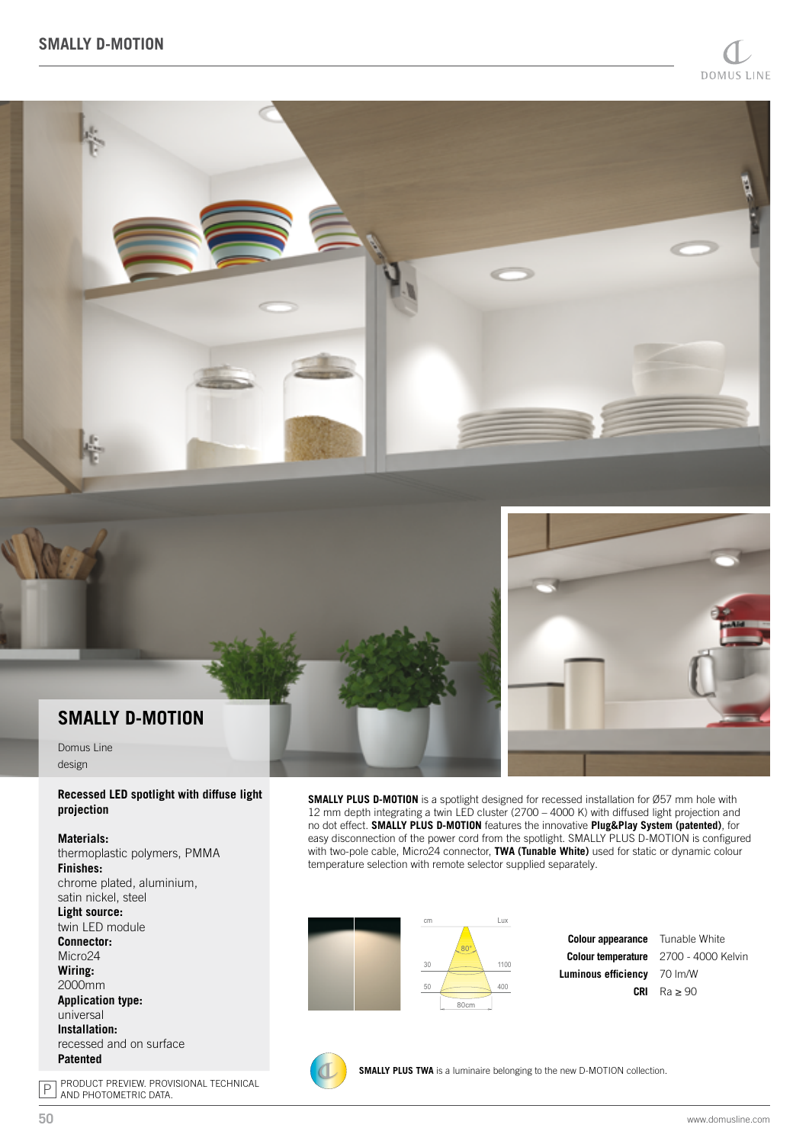



## **SMALLY D-MOTION**

Domus Line design

## **Recessed LED spotlight with diffuse light projection**

## **Materials:**

thermoplastic polymers, PMMA **Finishes:** chrome plated, aluminium, satin nickel, steel **Light source:** twin LED module **Connector:** Micro<sub>24</sub> **Wiring:** 2000mm **Application type:** universal **Installation:** recessed and on surface **Patented**

**SMALLY PLUS D-MOTION** is a spotlight designed for recessed installation for Ø57 mm hole with 12 mm depth integrating a twin LED cluster (2700 – 4000 K) with diffused light projection and no dot effect. **SMALLY PLUS D-MOTION** features the innovative **Plug&Play System (patented)**, for easy disconnection of the power cord from the spotlight. SMALLY PLUS D-MOTION is configured with two-pole cable, Micro24 connector, **TWA (Tunable White)** used for static or dynamic colour temperature selection with remote selector supplied separately.





**CRI** Ra ≥ 90Tunable White 2700 - 4000 Kelvin 70 lm/W

**SMALLY PLUS TWA** is a luminaire belonging to the new D-MOTION collection.

P PRODUCT PREVIEW. PROVISIONAL TECHNICAL AND PHOTOMETRIC DATA.